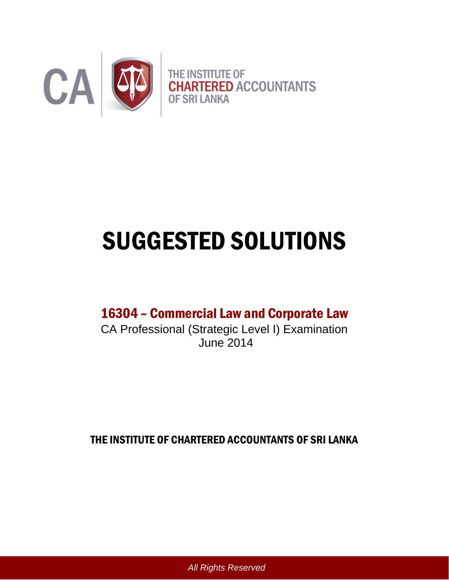

# SUGGESTED SOLUTIONS

# 16304 – Commercial Law and Corporate Law

CA Professional (Strategic Level I) Examination June 2014

THE INSTITUTE OF CHARTERED ACCOUNTANTS OF SRI LANKA

*All Rights Reserved*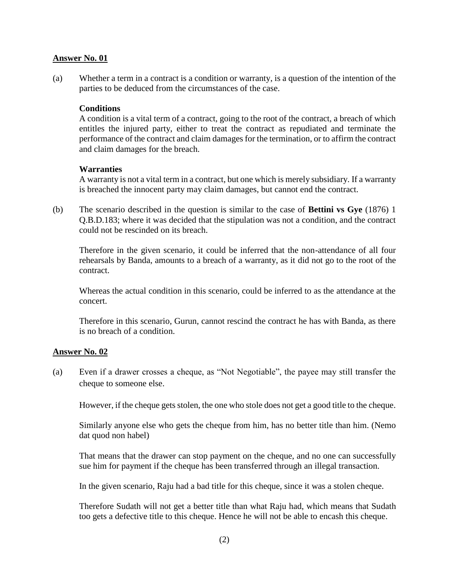(a) Whether a term in a contract is a condition or warranty, is a question of the intention of the parties to be deduced from the circumstances of the case.

#### **Conditions**

A condition is a vital term of a contract, going to the root of the contract, a breach of which entitles the injured party, either to treat the contract as repudiated and terminate the performance of the contract and claim damages for the termination, or to affirm the contract and claim damages for the breach.

#### **Warranties**

A warranty is not a vital term in a contract, but one which is merely subsidiary. If a warranty is breached the innocent party may claim damages, but cannot end the contract.

(b) The scenario described in the question is similar to the case of **Bettini vs Gye** (1876) 1 Q.B.D.183; where it was decided that the stipulation was not a condition, and the contract could not be rescinded on its breach.

Therefore in the given scenario, it could be inferred that the non-attendance of all four rehearsals by Banda, amounts to a breach of a warranty, as it did not go to the root of the contract.

Whereas the actual condition in this scenario, could be inferred to as the attendance at the concert.

Therefore in this scenario, Gurun, cannot rescind the contract he has with Banda, as there is no breach of a condition.

# **Answer No. 02**

(a) Even if a drawer crosses a cheque, as "Not Negotiable", the payee may still transfer the cheque to someone else.

However, if the cheque gets stolen, the one who stole does not get a good title to the cheque.

Similarly anyone else who gets the cheque from him, has no better title than him. (Nemo dat quod non habel)

That means that the drawer can stop payment on the cheque, and no one can successfully sue him for payment if the cheque has been transferred through an illegal transaction.

In the given scenario, Raju had a bad title for this cheque, since it was a stolen cheque.

Therefore Sudath will not get a better title than what Raju had, which means that Sudath too gets a defective title to this cheque. Hence he will not be able to encash this cheque.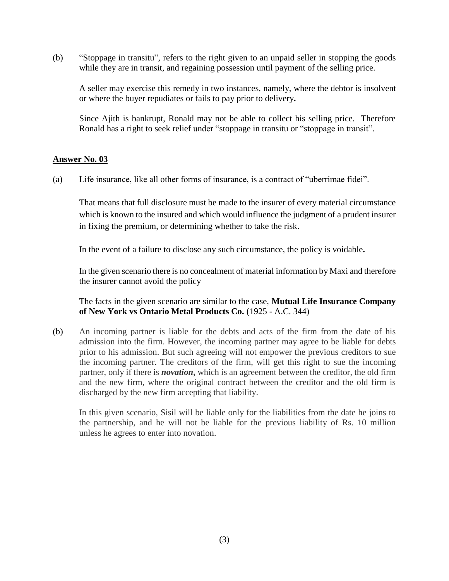(b) "Stoppage in transitu", refers to the right given to an unpaid seller in stopping the goods while they are in transit, and regaining possession until payment of the selling price.

A seller may exercise this remedy in two instances, namely, where the debtor is insolvent or where the buyer repudiates or fails to pay prior to delivery**.**

Since Ajith is bankrupt, Ronald may not be able to collect his selling price. Therefore Ronald has a right to seek relief under "stoppage in transitu or "stoppage in transit".

#### **Answer No. 03**

(a) Life insurance, like all other forms of insurance, is a contract of "uberrimae fidei".

That means that full disclosure must be made to the insurer of every material circumstance which is known to the insured and which would influence the judgment of a prudent insurer in fixing the premium, or determining whether to take the risk.

In the event of a failure to disclose any such circumstance, the policy is voidable**.** 

In the given scenario there is no concealment of material information by Maxi and therefore the insurer cannot avoid the policy

The facts in the given scenario are similar to the case, **Mutual Life Insurance Company of New York vs Ontario Metal Products Co.** (1925 - A.C. 344)

(b) An incoming partner is liable for the debts and acts of the firm from the date of his admission into the firm. However, the incoming partner may agree to be liable for debts prior to his admission. But such agreeing will not empower the previous creditors to sue the incoming partner. The creditors of the firm, will get this right to sue the incoming partner, only if there is *novation***,** which is an agreement between the creditor, the old firm and the new firm, where the original contract between the creditor and the old firm is discharged by the new firm accepting that liability.

In this given scenario, Sisil will be liable only for the liabilities from the date he joins to the partnership, and he will not be liable for the previous liability of Rs. 10 million unless he agrees to enter into novation.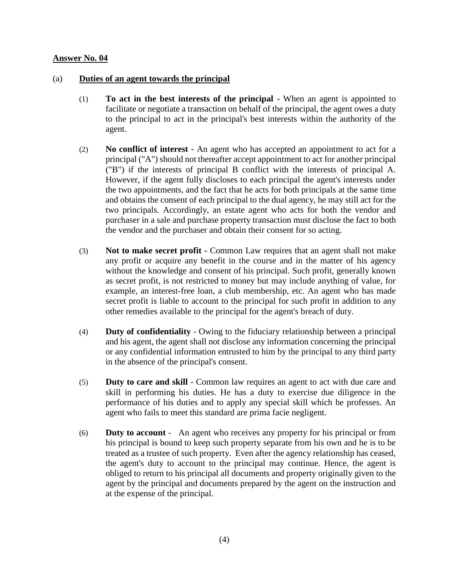# (a) **Duties of an agent towards the principal**

- (1) **To act in the best interests of the principal** When an agent is appointed to facilitate or negotiate a transaction on behalf of the principal, the agent owes a duty to the principal to act in the principal's best interests within the authority of the agent.
- (2) **No conflict of interest** An agent who has accepted an appointment to act for a principal ("A") should not thereafter accept appointment to act for another principal ("B") if the interests of principal B conflict with the interests of principal A. However, if the agent fully discloses to each principal the agent's interests under the two appointments, and the fact that he acts for both principals at the same time and obtains the consent of each principal to the dual agency, he may still act for the two principals. Accordingly, an estate agent who acts for both the vendor and purchaser in a sale and purchase property transaction must disclose the fact to both the vendor and the purchaser and obtain their consent for so acting.
- (3) **Not to make secret profit -** Common Law requires that an agent shall not make any profit or acquire any benefit in the course and in the matter of his agency without the knowledge and consent of his principal. Such profit, generally known as secret profit, is not restricted to money but may include anything of value, for example, an interest-free loan, a club membership, etc. An agent who has made secret profit is liable to account to the principal for such profit in addition to any other remedies available to the principal for the agent's breach of duty.
- (4) **Duty of confidentiality** Owing to the fiduciary relationship between a principal and his agent, the agent shall not disclose any information concerning the principal or any confidential information entrusted to him by the principal to any third party in the absence of the principal's consent.
- (5) **Duty to care and skill** Common law requires an agent to act with due care and skill in performing his duties. He has a duty to exercise due diligence in the performance of his duties and to apply any special skill which he professes. An agent who fails to meet this standard are prima facie negligent.
- (6) **Duty to account** An agent who receives any property for his principal or from his principal is bound to keep such property separate from his own and he is to be treated as a trustee of such property. Even after the agency relationship has ceased, the agent's duty to account to the principal may continue. Hence, the agent is obliged to return to his principal all documents and property originally given to the agent by the principal and documents prepared by the agent on the instruction and at the expense of the principal.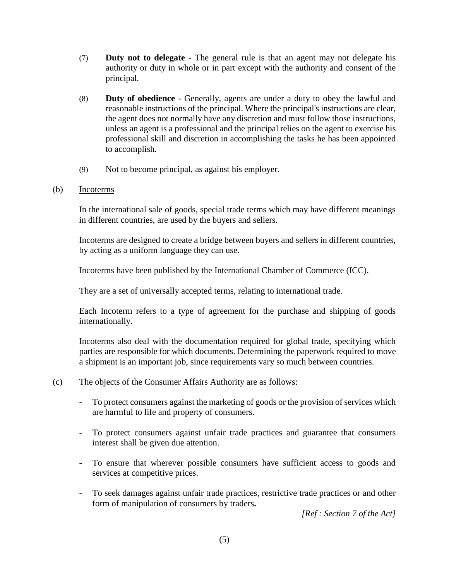- (7) **Duty not to delegate** The general rule is that an agent may not delegate his authority or duty in whole or in part except with the authority and consent of the principal.
- (8) **Duty of obedience** Generally, agents are under a duty to obey the lawful and reasonable instructions of the principal. Where the principal's instructions are clear, the agent does not normally have any discretion and must follow those instructions, unless an agent is a professional and the principal relies on the agent to exercise his professional skill and discretion in accomplishing the tasks he has been appointed to accomplish.
- (9) Not to become principal, as against his employer.

# (b) Incoterms

In the international sale of goods, special trade terms which may have different meanings in different countries, are used by the buyers and sellers.

Incoterms are designed to create a bridge between buyers and sellers in different countries, by acting as a uniform language they can use.

Incoterms have been published by the International Chamber of Commerce (ICC).

They are a set of universally accepted terms, relating to international trade.

Each Incoterm refers to a type of agreement for the purchase and shipping of goods internationally.

Incoterms also deal with the documentation required for global trade, specifying which parties are responsible for which documents. Determining the paperwork required to move a shipment is an important job, since requirements vary so much between countries.

- (c) The objects of the Consumer Affairs Authority are as follows:
	- To protect consumers against the marketing of goods or the provision of services which are harmful to life and property of consumers.
	- To protect consumers against unfair trade practices and guarantee that consumers interest shall be given due attention.
	- To ensure that wherever possible consumers have sufficient access to goods and services at competitive prices.
	- To seek damages against unfair trade practices, restrictive trade practices or and other form of manipulation of consumers by traders**.**

*[Ref : Section 7 of the Act]*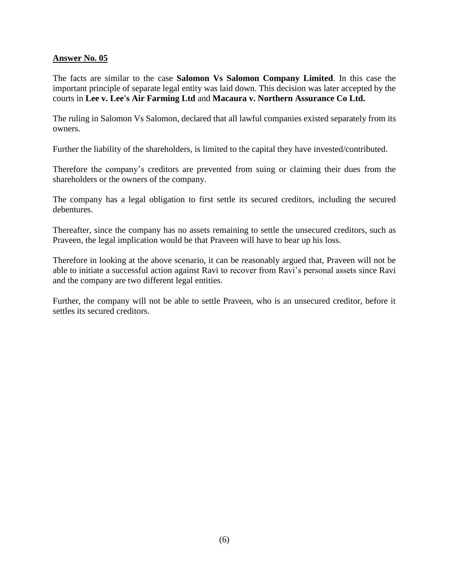The facts are similar to the case **Salomon Vs Salomon Company Limited**. In this case the important principle of separate legal entity was laid down. This decision was later accepted by the courts in **Lee v. Lee's Air Farming Ltd** and **Macaura v. Northern Assurance Co Ltd.**

The ruling in Salomon Vs Salomon, declared that all lawful companies existed separately from its owners.

Further the liability of the shareholders, is limited to the capital they have invested/contributed.

Therefore the company's creditors are prevented from suing or claiming their dues from the shareholders or the owners of the company.

The company has a legal obligation to first settle its secured creditors, including the secured debentures.

Thereafter, since the company has no assets remaining to settle the unsecured creditors, such as Praveen, the legal implication would be that Praveen will have to bear up his loss.

Therefore in looking at the above scenario, it can be reasonably argued that, Praveen will not be able to initiate a successful action against Ravi to recover from Ravi's personal assets since Ravi and the company are two different legal entities.

Further, the company will not be able to settle Praveen, who is an unsecured creditor, before it settles its secured creditors.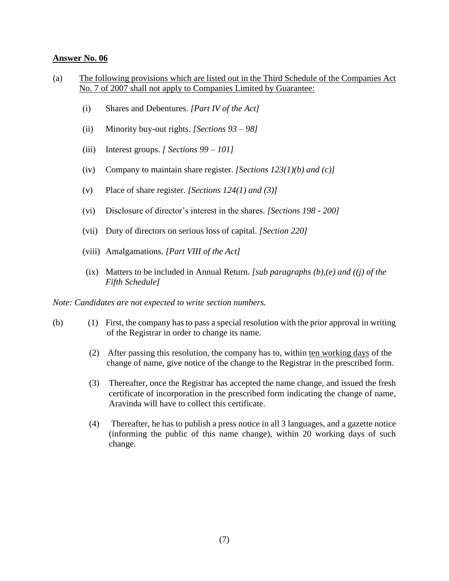- (a) The following provisions which are listed out in the Third Schedule of the Companies Act No. 7 of 2007 shall not apply to Companies Limited by Guarantee:
	- (i) Shares and Debentures. *[Part IV of the Act]*
	- (ii) Minority buy-out rights. *[Sections 93 – 98]*
	- (iii) Interest groups. *[ Sections 99 – 101]*
	- (iv) Company to maintain share register. *[Sections 123(1)(b) and (c)]*
	- (v) Place of share register. *[Sections 124(1) and (3)]*
	- (vi) Disclosure of director's interest in the shares. *[Sections 198 - 200]*
	- (vii) Duty of directors on serious loss of capital. *[Section 220]*
	- (viii) Amalgamations. *[Part VIII of the Act]*
	- (ix) Matters to be included in Annual Return. *[sub paragraphs (b),(e) and ((j) of the Fifth Schedule]*

*Note: Candidates are not expected to write section numbers.*

- (b) (1) First, the company has to pass a special resolution with the prior approval in writing of the Registrar in order to change its name.
	- (2) After passing this resolution, the company has to, within ten working days of the change of name, give notice of the change to the Registrar in the prescribed form.
	- (3) Thereafter, once the Registrar has accepted the name change, and issued the fresh certificate of incorporation in the prescribed form indicating the change of name, Aravinda will have to collect this certificate.
	- (4) Thereafter, he has to publish a press notice in all 3 languages, and a gazette notice (informing the public of this name change), within 20 working days of such change.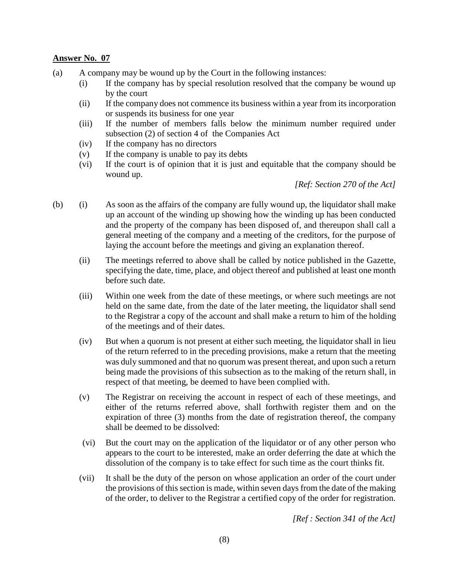- (a) A company may be wound up by the Court in the following instances:
	- (i) If the company has by special resolution resolved that the company be wound up by the court
	- (ii) If the company does not commence its business within a year from its incorporation or suspends its business for one year
	- (iii) If the number of members falls below the minimum number required under subsection (2) of section 4 of the Companies Act
	- (iv) If the company has no directors
	- (v) If the company is unable to pay its debts
	- (vi) If the court is of opinion that it is just and equitable that the company should be wound up.

*[Ref: Section 270 of the Act]* 

- (b) (i) As soon as the affairs of the company are fully wound up, the liquidator shall make up an account of the winding up showing how the winding up has been conducted and the property of the company has been disposed of, and thereupon shall call a general meeting of the company and a meeting of the creditors, for the purpose of laying the account before the meetings and giving an explanation thereof.
	- (ii) The meetings referred to above shall be called by notice published in the Gazette, specifying the date, time, place, and object thereof and published at least one month before such date.
	- (iii) Within one week from the date of these meetings, or where such meetings are not held on the same date, from the date of the later meeting, the liquidator shall send to the Registrar a copy of the account and shall make a return to him of the holding of the meetings and of their dates.
	- (iv) But when a quorum is not present at either such meeting, the liquidator shall in lieu of the return referred to in the preceding provisions, make a return that the meeting was duly summoned and that no quorum was present thereat, and upon such a return being made the provisions of this subsection as to the making of the return shall, in respect of that meeting, be deemed to have been complied with.
	- (v) The Registrar on receiving the account in respect of each of these meetings, and either of the returns referred above, shall forthwith register them and on the expiration of three (3) months from the date of registration thereof, the company shall be deemed to be dissolved:
	- (vi) But the court may on the application of the liquidator or of any other person who appears to the court to be interested, make an order deferring the date at which the dissolution of the company is to take effect for such time as the court thinks fit.
	- (vii) It shall be the duty of the person on whose application an order of the court under the provisions of this section is made, within seven days from the date of the making of the order, to deliver to the Registrar a certified copy of the order for registration.

*[Ref : Section 341 of the Act]*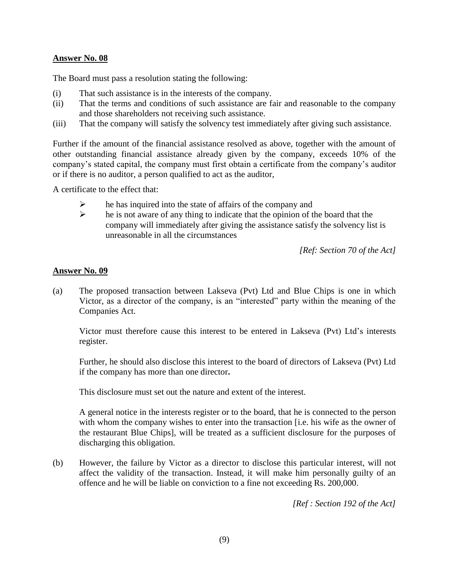The Board must pass a resolution stating the following:

- (i) That such assistance is in the interests of the company.
- (ii) That the terms and conditions of such assistance are fair and reasonable to the company and those shareholders not receiving such assistance.
- (iii) That the company will satisfy the solvency test immediately after giving such assistance.

Further if the amount of the financial assistance resolved as above, together with the amount of other outstanding financial assistance already given by the company, exceeds 10% of the company's stated capital, the company must first obtain a certificate from the company's auditor or if there is no auditor, a person qualified to act as the auditor,

A certificate to the effect that:

- $\triangleright$  he has inquired into the state of affairs of the company and
- $\triangleright$  he is not aware of any thing to indicate that the opinion of the board that the company will immediately after giving the assistance satisfy the solvency list is unreasonable in all the circumstances

*[Ref: Section 70 of the Act]*

# **Answer No. 09**

(a) The proposed transaction between Lakseva (Pvt) Ltd and Blue Chips is one in which Victor, as a director of the company, is an "interested" party within the meaning of the Companies Act.

Victor must therefore cause this interest to be entered in Lakseva (Pvt) Ltd's interests register.

Further, he should also disclose this interest to the board of directors of Lakseva (Pvt) Ltd if the company has more than one director**.** 

This disclosure must set out the nature and extent of the interest.

A general notice in the interests register or to the board, that he is connected to the person with whom the company wishes to enter into the transaction [i.e. his wife as the owner of the restaurant Blue Chips], will be treated as a sufficient disclosure for the purposes of discharging this obligation.

(b) However, the failure by Victor as a director to disclose this particular interest, will not affect the validity of the transaction. Instead, it will make him personally guilty of an offence and he will be liable on conviction to a fine not exceeding Rs. 200,000.

*[Ref : Section 192 of the Act]*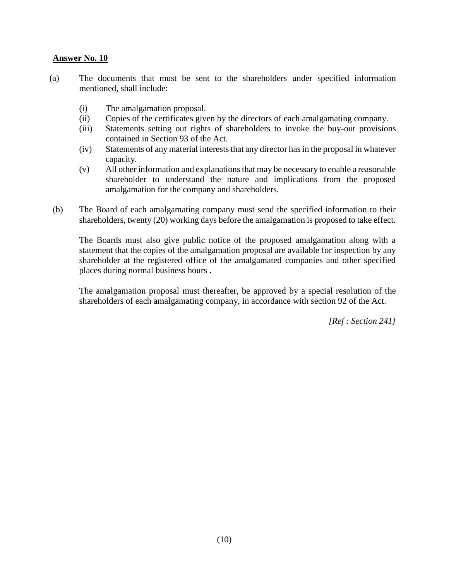- (a) The documents that must be sent to the shareholders under specified information mentioned, shall include:
	- (i) The amalgamation proposal.
	- (ii) Copies of the certificates given by the directors of each amalgamating company.
	- (iii) Statements setting out rights of shareholders to invoke the buy-out provisions contained in Section 93 of the Act.
	- (iv) Statements of any material interests that any director has in the proposal in whatever capacity.
	- (v) All other information and explanations that may be necessary to enable a reasonable shareholder to understand the nature and implications from the proposed amalgamation for the company and shareholders.
- (b) The Board of each amalgamating company must send the specified information to their shareholders, twenty (20) working days before the amalgamation is proposed to take effect.

The Boards must also give public notice of the proposed amalgamation along with a statement that the copies of the amalgamation proposal are available for inspection by any shareholder at the registered office of the amalgamated companies and other specified places during normal business hours .

The amalgamation proposal must thereafter, be approved by a special resolution of the shareholders of each amalgamating company, in accordance with section 92 of the Act.

*[Ref : Section 241]*